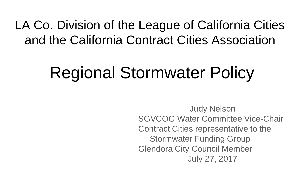#### LA Co. Division of the League of California Cities and the California Contract Cities Association

# Regional Stormwater Policy

Judy Nelson SGVCOG Water Committee Vice-Chair Contract Cities representative to the Stormwater Funding Group Glendora City Council Member July 27, 2017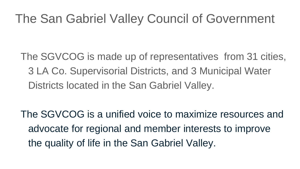#### The San Gabriel Valley Council of Government

The SGVCOG is made up of representatives from 31 cities, 3 LA Co. Supervisorial Districts, and 3 Municipal Water Districts located in the San Gabriel Valley.

The SGVCOG is a unified voice to maximize resources and advocate for regional and member interests to improve the quality of life in the San Gabriel Valley.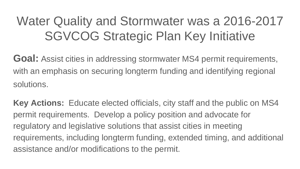# Water Quality and Stormwater was a 2016-2017 SGVCOG Strategic Plan Key Initiative

**Goal:** Assist cities in addressing stormwater MS4 permit requirements, with an emphasis on securing longterm funding and identifying regional solutions.

**Key Actions:** Educate elected officials, city staff and the public on MS4 permit requirements. Develop a policy position and advocate for regulatory and legislative solutions that assist cities in meeting requirements, including longterm funding, extended timing, and additional assistance and/or modifications to the permit.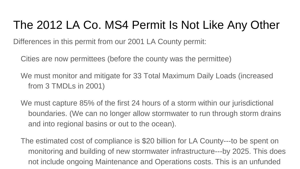#### The 2012 LA Co. MS4 Permit Is Not Like Any Other

Differences in this permit from our 2001 LA County permit:

Cities are now permittees (before the county was the permittee)

We must monitor and mitigate for 33 Total Maximum Daily Loads (increased from 3 TMDLs in 2001)

We must capture 85% of the first 24 hours of a storm within our jurisdictional boundaries. (We can no longer allow stormwater to run through storm drains and into regional basins or out to the ocean).

The estimated cost of compliance is \$20 billion for LA County---to be spent on monitoring and building of new stormwater infrastructure---by 2025. This does not include ongoing Maintenance and Operations costs. This is an unfunded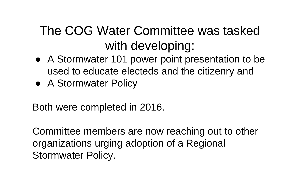## The COG Water Committee was tasked with developing:

- A Stormwater 101 power point presentation to be used to educate electeds and the citizenry and
- A Stormwater Policy

Both were completed in 2016.

Committee members are now reaching out to other organizations urging adoption of a Regional Stormwater Policy.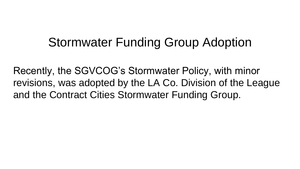#### Stormwater Funding Group Adoption

Recently, the SGVCOG's Stormwater Policy, with minor revisions, was adopted by the LA Co. Division of the League and the Contract Cities Stormwater Funding Group.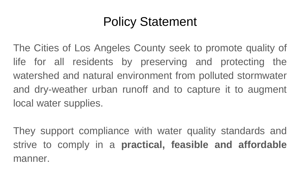## Policy Statement

The Cities of Los Angeles County seek to promote quality of life for all residents by preserving and protecting the watershed and natural environment from polluted stormwater and dry-weather urban runoff and to capture it to augment local water supplies.

They support compliance with water quality standards and strive to comply in a **practical, feasible and affordable** manner.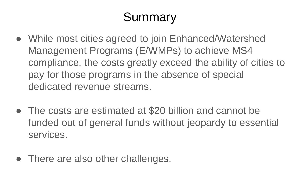# Summary

- While most cities agreed to join Enhanced/Watershed Management Programs (E/WMPs) to achieve MS4 compliance, the costs greatly exceed the ability of cities to pay for those programs in the absence of special dedicated revenue streams.
- The costs are estimated at \$20 billion and cannot be funded out of general funds without jeopardy to essential services.
- There are also other challenges.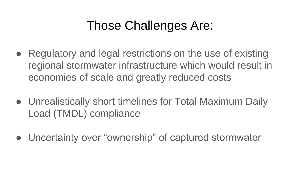## Those Challenges Are:

- Regulatory and legal restrictions on the use of existing regional stormwater infrastructure which would result in economies of scale and greatly reduced costs
- Unrealistically short timelines for Total Maximum Daily Load (TMDL) compliance
- Uncertainty over "ownership" of captured stormwater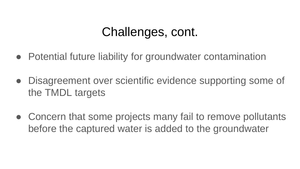#### Challenges, cont.

- Potential future liability for groundwater contamination
- Disagreement over scientific evidence supporting some of the TMDL targets
- Concern that some projects many fail to remove pollutants before the captured water is added to the groundwater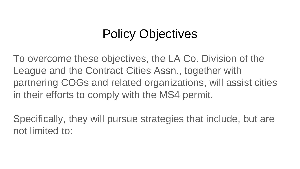# Policy Objectives

To overcome these objectives, the LA Co. Division of the League and the Contract Cities Assn., together with partnering COGs and related organizations, will assist cities in their efforts to comply with the MS4 permit.

Specifically, they will pursue strategies that include, but are not limited to: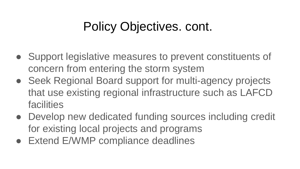## Policy Objectives. cont.

- Support legislative measures to prevent constituents of concern from entering the storm system
- Seek Regional Board support for multi-agency projects that use existing regional infrastructure such as LAFCD facilities
- Develop new dedicated funding sources including credit for existing local projects and programs
- Extend E/WMP compliance deadlines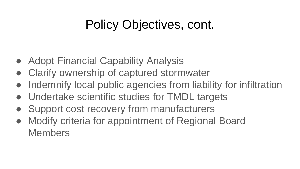#### Policy Objectives, cont.

- Adopt Financial Capability Analysis
- Clarify ownership of captured stormwater
- Indemnify local public agencies from liability for infiltration
- Undertake scientific studies for TMDL targets
- Support cost recovery from manufacturers
- Modify criteria for appointment of Regional Board Members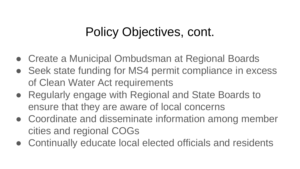#### Policy Objectives, cont.

- Create a Municipal Ombudsman at Regional Boards
- Seek state funding for MS4 permit compliance in excess of Clean Water Act requirements
- Regularly engage with Regional and State Boards to ensure that they are aware of local concerns
- Coordinate and disseminate information among member cities and regional COGs
- Continually educate local elected officials and residents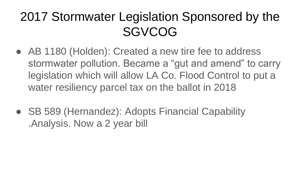## 2017 Stormwater Legislation Sponsored by the **SGVCOG**

- AB 1180 (Holden): Created a new tire fee to address stormwater pollution. Became a "gut and amend" to carry legislation which will allow LA Co. Flood Control to put a water resiliency parcel tax on the ballot in 2018
- SB 589 (Hernandez): Adopts Financial Capability .Analysis. Now a 2 year bill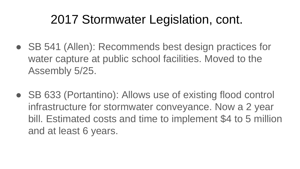#### 2017 Stormwater Legislation, cont.

- SB 541 (Allen): Recommends best design practices for water capture at public school facilities. Moved to the Assembly 5/25.
- SB 633 (Portantino): Allows use of existing flood control infrastructure for stormwater conveyance. Now a 2 year bill. Estimated costs and time to implement \$4 to 5 million and at least 6 years.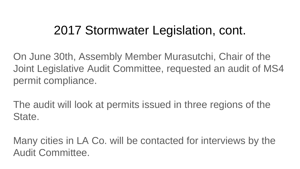#### 2017 Stormwater Legislation, cont.

On June 30th, Assembly Member Murasutchi, Chair of the Joint Legislative Audit Committee, requested an audit of MS4 permit compliance.

The audit will look at permits issued in three regions of the State.

Many cities in LA Co. will be contacted for interviews by the Audit Committee.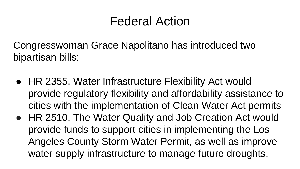#### Federal Action

Congresswoman Grace Napolitano has introduced two bipartisan bills:

- HR 2355, Water Infrastructure Flexibility Act would provide regulatory flexibility and affordability assistance to cities with the implementation of Clean Water Act permits
- HR 2510, The Water Quality and Job Creation Act would provide funds to support cities in implementing the Los Angeles County Storm Water Permit, as well as improve water supply infrastructure to manage future droughts.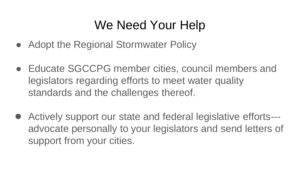#### We Need Your Help

- Adopt the Regional Stormwater Policy
- Educate SGCCPG member cities, council members and legislators regarding efforts to meet water quality standards and the challenges thereof.
- Actively support our state and federal legislative efforts--advocate personally to your legislators and send letters of support from your cities.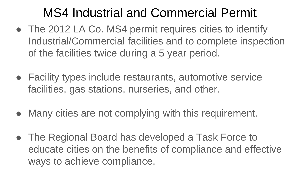## MS4 Industrial and Commercial Permit

- The 2012 LA Co. MS4 permit requires cities to identify Industrial/Commercial facilities and to complete inspection of the facilities twice during a 5 year period.
- Facility types include restaurants, automotive service facilities, gas stations, nurseries, and other.
- Many cities are not complying with this requirement.
- The Regional Board has developed a Task Force to educate cities on the benefits of compliance and effective ways to achieve compliance.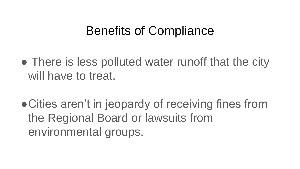#### Benefits of Compliance

- There is less polluted water runoff that the city will have to treat.
- Cities aren't in jeopardy of receiving fines from the Regional Board or lawsuits from environmental groups.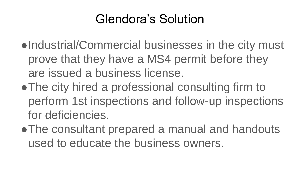## Glendora's Solution

- •Industrial/Commercial businesses in the city must prove that they have a MS4 permit before they are issued a business license.
- The city hired a professional consulting firm to perform 1st inspections and follow-up inspections for deficiencies.
- ●The consultant prepared a manual and handouts used to educate the business owners.